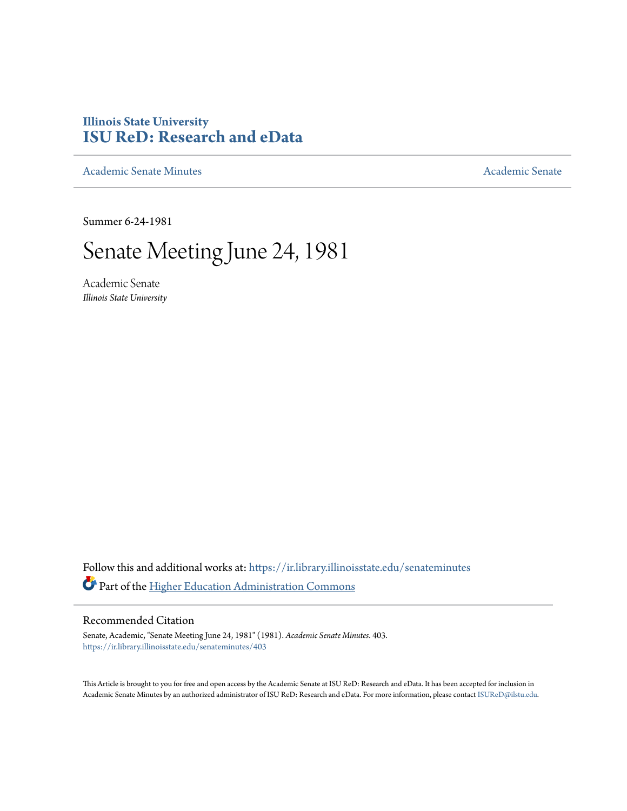## **Illinois State University [ISU ReD: Research and eData](https://ir.library.illinoisstate.edu?utm_source=ir.library.illinoisstate.edu%2Fsenateminutes%2F403&utm_medium=PDF&utm_campaign=PDFCoverPages)**

[Academic Senate Minutes](https://ir.library.illinoisstate.edu/senateminutes?utm_source=ir.library.illinoisstate.edu%2Fsenateminutes%2F403&utm_medium=PDF&utm_campaign=PDFCoverPages) [Academic Senate](https://ir.library.illinoisstate.edu/senate?utm_source=ir.library.illinoisstate.edu%2Fsenateminutes%2F403&utm_medium=PDF&utm_campaign=PDFCoverPages) Academic Senate

Summer 6-24-1981

# Senate Meeting June 24, 1981

Academic Senate *Illinois State University*

Follow this and additional works at: [https://ir.library.illinoisstate.edu/senateminutes](https://ir.library.illinoisstate.edu/senateminutes?utm_source=ir.library.illinoisstate.edu%2Fsenateminutes%2F403&utm_medium=PDF&utm_campaign=PDFCoverPages) Part of the [Higher Education Administration Commons](http://network.bepress.com/hgg/discipline/791?utm_source=ir.library.illinoisstate.edu%2Fsenateminutes%2F403&utm_medium=PDF&utm_campaign=PDFCoverPages)

## Recommended Citation

Senate, Academic, "Senate Meeting June 24, 1981" (1981). *Academic Senate Minutes*. 403. [https://ir.library.illinoisstate.edu/senateminutes/403](https://ir.library.illinoisstate.edu/senateminutes/403?utm_source=ir.library.illinoisstate.edu%2Fsenateminutes%2F403&utm_medium=PDF&utm_campaign=PDFCoverPages)

This Article is brought to you for free and open access by the Academic Senate at ISU ReD: Research and eData. It has been accepted for inclusion in Academic Senate Minutes by an authorized administrator of ISU ReD: Research and eData. For more information, please contact [ISUReD@ilstu.edu.](mailto:ISUReD@ilstu.edu)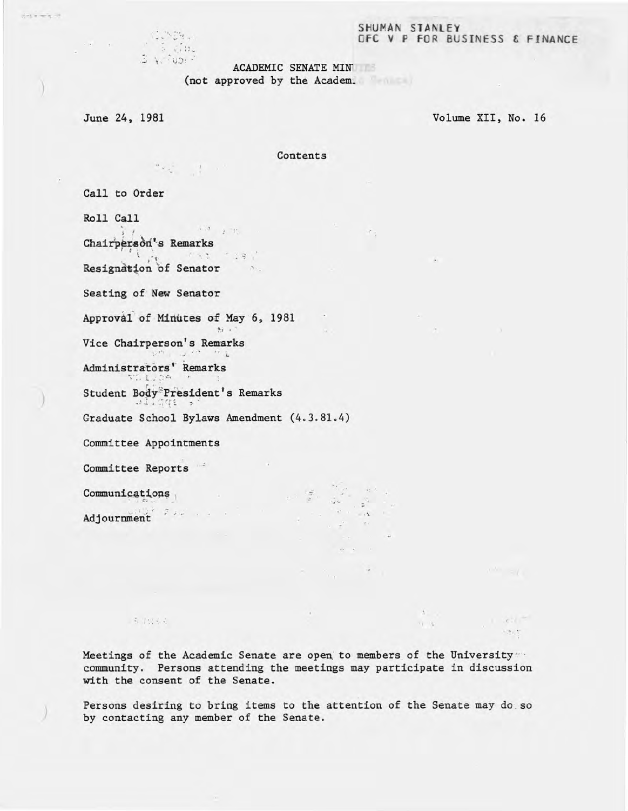#### SHUMAN STANLEY OfC V P FOR BUSINESS & FINANCE

#### ACADEMIC SENATE MIN

(not approved by the Academ.

June 24, 1981

 $\mathbb{C}$  . Then

 $\sqrt{3} \, \Omega$  ...

)

 $|1 - 1|$  is such as  $-11$ 

)

Volume XII, No. 16

, .. , ....

 $\label{eq:1} \mathbf{E} = \left\{ \mathbf{E} \in \mathbb{R}^d \mid \mathbb{R}^d \right\}$ 

Contents

 $\mathcal{F}$  .

< '.

 $\ddot{\phantom{1}}$ 

 $\label{eq:2.1} \omega_{\alpha}=\omega_{\alpha}=-\alpha$ 

 $\mathbf{X} \in$ 

 $A$ 

 $11 - 3$ 

Call to Order

Roll Call ,  $\mathcal{L}^{\mathcal{A}}=\mathcal{L}^{\mathcal{A}}\oplus\mathcal{L}^{\mathcal{A}}\oplus\mathcal{L}^{\mathcal{A}}$  $\mathbf{1}$ Chairperson's Remarks l ':,. ' -. :. : .'! . ./ Resignation of Senator Seating of New Senator Approval of Minutes of May 6, 1981  $62.11$ Vice Chairperson's Remarks Administrators' Remarks Student Body<sup>\*</sup> President's Remarks Graduate School Bylaws Amendment (4.3.81.4) Committee Appointments  $\sim$ **Committee Reports** '- Communications  $\label{eq:2.1} \begin{array}{ccccc} \mathbb{E}^{(1)} & \mathbb{E}^{(2)} & \mathbb{E}^{(1)} & \mathbb{E}^{(1)} & \mathbb{E}^{(1)} & \mathbb{E}^{(1)} & \mathbb{E}^{(1)} & \mathbb{E}^{(1)} & \mathbb{E}^{(1)} & \mathbb{E}^{(1)} & \mathbb{E}^{(1)} & \mathbb{E}^{(1)} & \mathbb{E}^{(1)} & \mathbb{E}^{(1)} & \mathbb{E}^{(1)} & \mathbb{E}^{(1)} & \mathbb{E}^{(1)} & \mathbb{E}^{(1)} & \mathbb{E$ 

 $x^2 + y^2 + z^3 + z^4$ 

Adjournment

i . 5 1 ti 6 4

Meetings of the Academic Senate are open. to members of the University '" community. Persons attending the meetings may participate in discussion with the consent of the Senate.

Persons desiring to bring items to the attention of the Senate may do so by contacting any member of the Senate.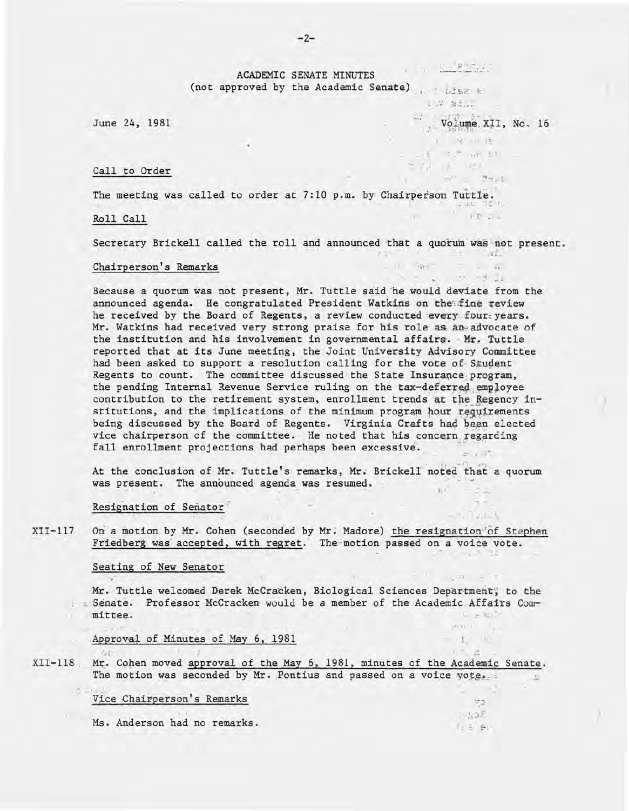$\mathcal{N} \subset \mathbb{C}$ ACADEMIC SENATE MINUTES (not approved by the Academic Senate) 1 11582 2

102 82.3

where the control of the control of the

and Reserve

 $V$  volume XII, No. 16

 $-2.95$   $-2.95$ 

**NEW** 

 $\begin{array}{ccccccccc} \cdots & \cdots & \cdots & \cdots & \cdots \end{array}$ 

... 7. The

 $+ 1$   $-2 + 1$ 

parks a

 $1 - A$ 

 $577$  $-7232$ 

**Bas Bu** 

 $\lambda_1 = \begin{bmatrix} 1 & 0 \\ 0 & 0 \end{bmatrix} \quad \text{and} \quad \frac{1}{2} \begin{bmatrix} 1 \\ 0 \\ 0 \end{bmatrix}$ 

 $\label{eq:10} \begin{array}{cccccccccc} j & -i \, j j & 1 & j \, \frac{p}{2} & \end{array}$ THE NEW YORK  $5.74 - 2.491$ 

June 24, 1981

#### Call to Order

The meeting was called to order at 7:10 p.m. by Chairperson Tuttle. 

Roll Call

Secretary Brickell called the roll and announced that a quorum was not present.

#### Chairperson's Remarks

Because a quorum was not present, Mr. Tuttle said he would deviate from the announced agenda. He congratulated President Watkins on the fine review he received by the Board of Regents, a review conducted every four years. Mr. Watkins had received very strong praise for his role as an advocate of the institution and his involvement in governmental affairs. Mr. Tuttle reported that at its June meeting, the Joint University Advisory Committee had been asked to support a resolution calling for the vote of Student Regents to count. The committee discussed the State Insurance program, the pending Internal Revenue Service ruling on the tax-deferred employee contribution to the retirement system, enrollment trends at the Regency institutions, and the implications of the minimum program hour requirements being discussed by the Board of Regents. Virginia Crafts had been elected vice chairperson of the committee. He noted that his concern regarding fall enrollment projections had perhaps been excessive.  $z = 127$ 

At the conclusion of Mr. Tuttle's remarks, Mr. Brickell noted that a quorum was present. The announced agenda was resumed.  $B/I$ 

#### Resignation of Senator

 $XII-117$ On a motion by Mr. Cohen (seconded by Mr. Madore) the resignation of Stephen Friedberg was accepted, with regret. The motion passed on a voice vote.

 $\mathcal{L} = \mathcal{L}$ 

#### Seating of New Senator

 $-94$   $+3$ 

 $x - 1$ 

Mr. Tuttle welcomed Derek McCracken, Biological Sciences Department, to the : Senate. Professor McCracken would be a member of the Academic Affairs Committee.  $1 - 2 = 12$ 

#### Approval of Minutes of May 6, 1981

XII-118 Mr. Cohen moved approval of the May 6, 1981, minutes of the Academic Senate. The motion was seconded by Mr. Pontius and passed on a voice yote.

#### Vice Chairperson's Remarks

Ms. Anderson had no remarks.

 $-2-$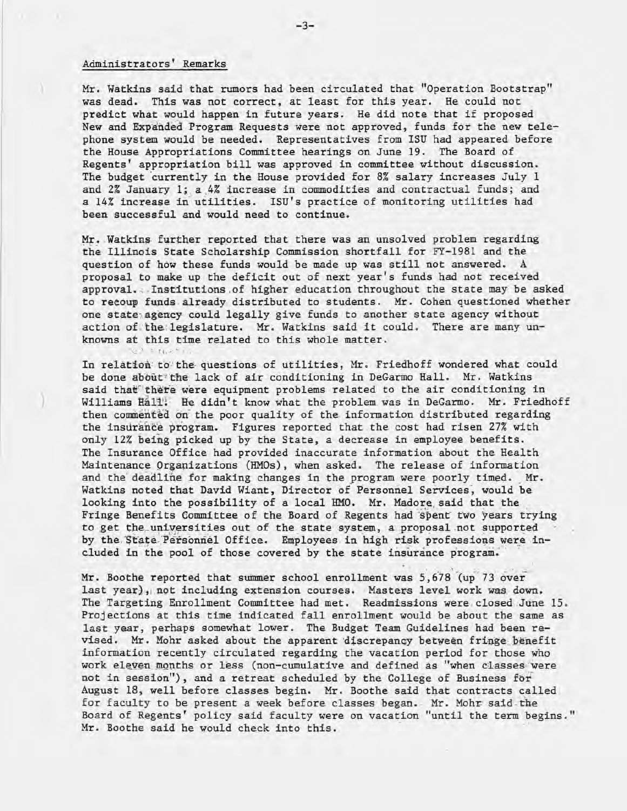## Administrators' Remarks

Mr. Watkins said that rumors had been circulated that "Operation Bootstrap" was dead. This was not correct, at least for this year. He could not predict what would happen in future years. He did note that if proposed New and Expanded Program Requests were not approved, funds for the new telephone system would be needed. Representatives from ISU had appeared before the House Appropriations Committee hearings on June 19. The Board of Regents' appropriation bill was approved in committee without discussion. The budget 'currently in the House provided for 8% salary increases July 1 and 2% January 1; a 4% increase in commodities and contractual funds; and a 14% increase in utilities. ISU's practice of monitoring utilities had been successful and would need to continue.

Mr. Watkins further reported that there was an unsolved problem regarding the Illinois State Scholarship Commission shortfall for FY-1981 and the question of how these funds would be made up was still not answered. A proposal to make up the deficit out of next year's funds had not received approval. Institutions of higher education throughout the state may be asked to recoup funds already distributed to students. Mr. Cohen questioned whether one state agency could legally give funds to another state agency without action of the legislature. Mr. Watkins said it could. There are many unknowns at this time related to this whole matter.

In relation to the questions of utilities, Mr. Friedhoff wondered what could be done about the lack of air conditioning in DeGarmo Hall. Mr. Watkins said that" there were equipment problems related to the air conditioning in Williams Hall: He didn't know what the problem was in DeGarmo. Mr. Friedhoff then commented on the poor quality of the information distributed regarding the insurance program. Figures reported that the cost had risen 27% with only 12% beIng picked up by the State, a decrease in employee benefits. The Insurance Office had provided inaccurate information about the Health Maintenance Organizations (HMOs), when asked. The release of information and the deadline for making changes in the program were poorly timed. Mr. Watkins noted that David Wiant, Director of Personnel Services, would be looking into the possibility of a local HMO. Mr. Madore said that the Fringe Benefits Committee of the Board of Regents had spent two years trying to get the universities out of the state system, a proposal not supported by the State Personnel Office. Employees in high risk professions were included in the pool of those covered by the state insurance program.

Mr. Boothe reported that summer school enrollment was 5,678 (up 73 over last year), not including extension courses. Masters level work was down. The Targeting Enrollment Committee had met. Readmissions were closed June 15. Projections at this time indicated fall enrollment would be about the same as last year, perhaps somewhat lower. The Budget Team Guidelines had been revised. Mr. Mohr asked about the apparent discrepancy between fringe benefit information recently circulated regarding the vacation period for those who work eleven months or less (non-cumulative and defined as "when classes were not in session"), and a retreat scheduled by the College of Business for August 18, well before classes begin. Mr. Boothe said tnat contracts called for faculty to be present a week before classes began. Mr. Mohr said the Board of Regents' policy said faculty were on vacation "until the term begins." Mr. Boothe said he would check into this.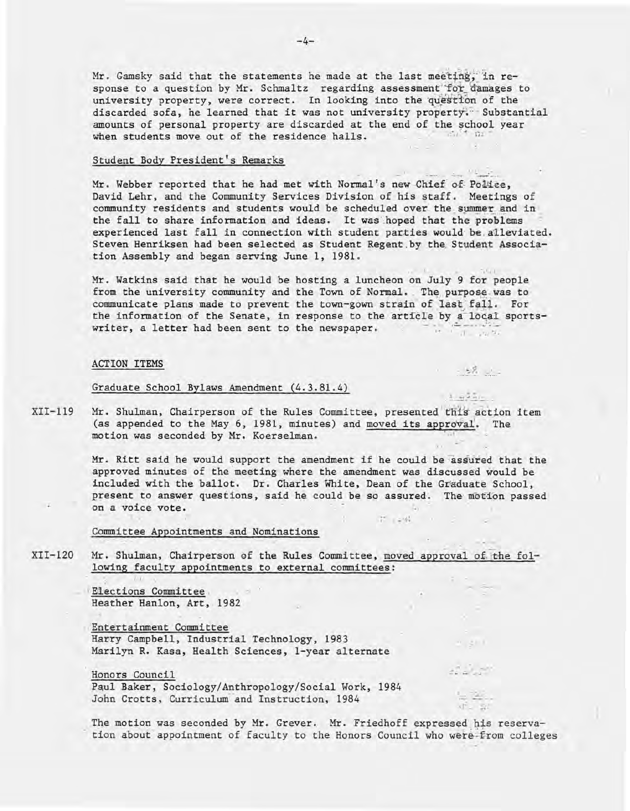Mr. Gamsky said that the statements he made at the last meeting, in response to a question by Mr. Schmaltz regarding assessment for damages to university property, were correct. In looking into the question of the discarded sofa, he learned that it was not university property. Substantial amounts of personal property are discarded at the end of the school year when students move out of the residence halls.

#### Student Body President's Remarks

Mr. Webber reported that he had met with Normal's new Chief of Police, David Lehr, and the Community Services Division of his staff. Meetings of community residents and students would be scheduled over the summer and in the fall to share information and ideas. It was hoped that the problems experienced last fall in connection with student parties would be alleviated. Steven Henriksen had been selected as Student Regent by the Student Association Assembly and began serving June 1, 1981.

Mr. Watkins said that he would be hosting a luncheon on July 9 for people from the university community and the Town of Normal. The purpose was to communicate plans made to prevent the town of Normal. The purpose was to<br>communicate plans made to prevent the town-gown strain of last fall. For the information of the Senate, in response to the article by a local sportswriter, a letter had been sent to the newspaper.

,

1. = 15.5 ...

 $1 - 2 - 1$ 

 $-58 - .$ 

#### ACTION ITEMS

#### Graduate School Bylaws Amendment (4.3.81.4)

XII-1l9 Mr. Shulman, Chairperson of the Rules Committee, presented this action item (as appended to the May 6, 1981, minutes) and moved its approval. The motion was seconded by Mr. Koerselman.

> Mr. Ritt said he would support the amendment if he could be assured that the approved minutes of the meeting where the amendment was discussed would be included with the ballot. Dr. Charles White, Dean of the Graduate School, present to answer questions, said he could be so assured. The motion passed on a voice vote.  $\frac{1}{2}$

> > T 245 1

#### Committee Appointments and Nominations

XII-120 Mr. Shulman, Chairperson of the Rules Committee, moved approval of the following faculty appointments to external committees:

> Elections Committee . Heather Hanlon, Art, 1982

Entertainment Committee Harry Campbell, Industrial Technology, 1983 Marilyn R. Kasa, Health Sciences, I-year alternate

Honors Council Paul Baker, Sociology/Anthropology/Social Work, 1984 John Crotts, Curriculum and Instruction, 1984

The motion was seconded by Mr. Grever. Mr. Friedhoff expressed his reservation about appointment of faculty to the Honors Council who were from colleges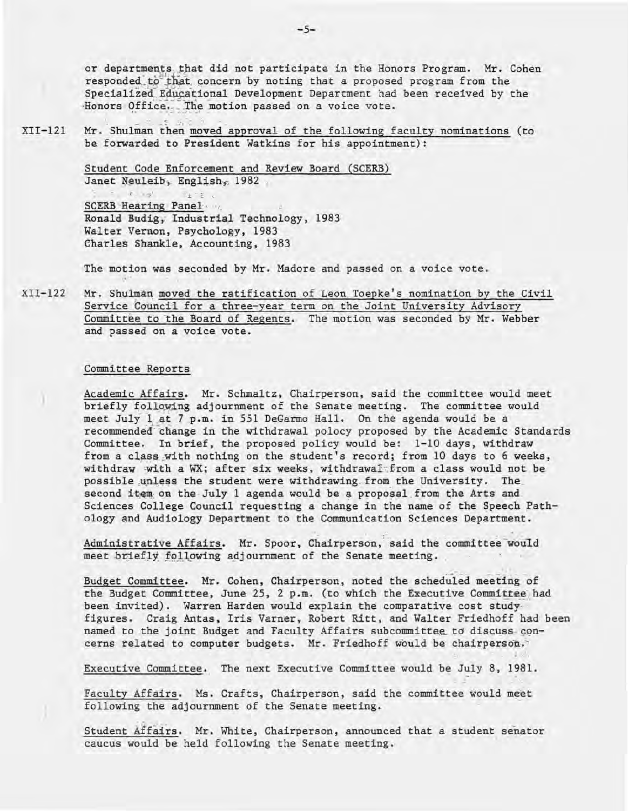or departments that did not participate in the Honors Program. Mr. Cohen responded to that concern by noting that a proposed program from the Specialized Educational Development Department had been received by the Honors Office. The motion passed on a voice vote.

 $XII-121$ Mr. Shulman then moved approval of the following faculty nominations (to be forwarded to President Watkins for his appointment):

> Student Code Enforcement and Review Board (SCERB) Janet Neuleib, English, 1982

 $r_{\alpha}$  $7 + 75$ **SCERB Hearing Panel** Ronald Budig, Industrial Technology, 1983 Walter Vernon, Psychology, 1983 Charles Shankle, Accounting, 1983

The motion was seconded by Mr. Madore and passed on a voice vote.

 $XII-122$ Mr. Shulman moved the ratification of Leon Toepke's nomination by the Civil Service Council for a three-year term on the Joint University Advisory Committee to the Board of Regents. The motion was seconded by Mr. Webber and passed on a voice vote.

#### Committee Reports

Academic Affairs. Mr. Schmaltz, Chairperson, said the committee would meet briefly following adjournment of the Senate meeting. The committee would meet July 1 at 7 p.m. in 551 DeGarmo Hall. On the agenda would be a recommended change in the withdrawal polocy proposed by the Academic Standards Committee. In brief, the proposed policy would be: 1-10 days, withdraw from a class with nothing on the student's record; from 10 days to 6 weeks, withdraw with a WX; after six weeks, withdrawal from a class would not be possible unless the student were withdrawing from the University. The second item on the July 1 agenda would be a proposal from the Arts and Sciences College Council requesting a change in the name of the Speech Pathology and Audiology Department to the Communication Sciences Department.

Administrative Affairs. Mr. Spoor, Chairperson, said the committee would meet briefly following adjournment of the Senate meeting.

Budget Committee. Mr. Cohen, Chairperson, noted the scheduled meeting of the Budget Committee, June 25, 2 p.m. (to which the Executive Committee had been invited). Warren Harden would explain the comparative cost studyfigures. Craig Antas, Iris Varner, Robert Ritt, and Walter Friedhoff had been named to the joint Budget and Faculty Affairs subcommittee to discuss concerns related to computer budgets. Mr. Friedhoff would be chairperson.

Executive Committee. The next Executive Committee would be July 8, 1981.

Faculty Affairs. Ms. Crafts, Chairperson, said the committee would meet following the adjournment of the Senate meeting.

Student Affairs. Mr. White, Chairperson, announced that a student senator caucus would be held following the Senate meeting.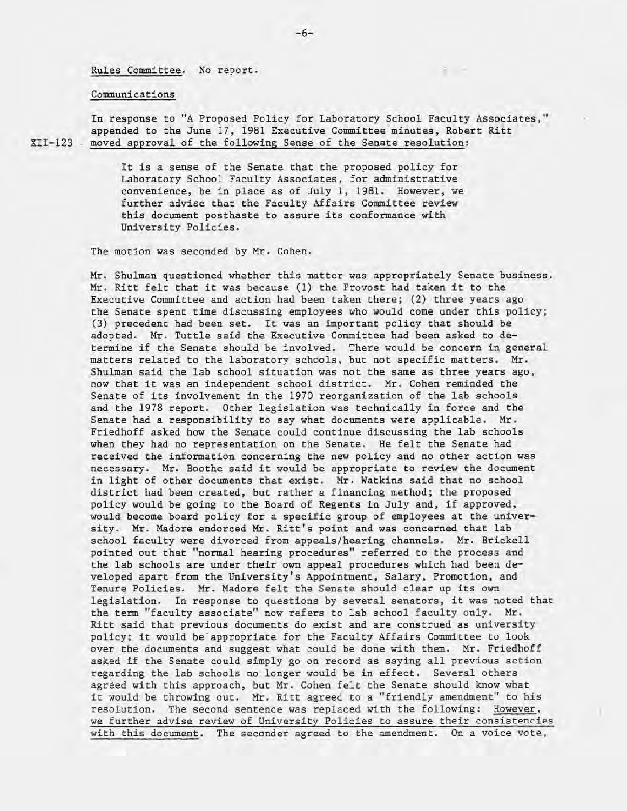Rules Committee. No report.

#### Communications

In response to "A Proposed Policy for Laboratory School Faculty Associates," appended to the June 17, 1981 Executive Committee minutes, Robert Ritt XII-123 " moved approval of the following Sense of the Senate resolution:

> It is a sense of the Senate that the proposed policy for Laboratory School Faculty Associates, for administrative convenience, be in place as of July 1, 1981. However, we further advise that the Faculty Affairs Committee review this document posthaste to assure its conformance with University Policies.

The motion was seconded by Mr. Cohen.

Mr. Shulman questioned whether this matter was appropriately Senate business. Mr. Ritt felt that it was because (1) the Provost had taken it to the Executive Committee and action had been taken there; (2) three years ago the Senate spent time discussing employees who would come under this policy; (3) precedent had been set. It was an important policy that should be adopted. Mr. Tuttle said the Executive Committee had been asked to determine if the Senate should be involved. There would be concern in general matters related to the laboratory schools, but not specific matters. Mr. Shulman said the lab school situation was not the same as three years ago, now that it was an independent school district. Mr. Cohen reminded the Senate of its involvement in the 1970 reorganization of the lab schools and the 1978 report. Other legislation was technically in force and the Senate had a responsibility to say what documents were applicable. Mr. Friedhoff asked how the Senate could continue discussing the lab schools when they had no representation on the Senate . He felt the Senate had received the information concerning the new policy and no other action was necessary. Mr. Boothe said it would be appropriate to review the document in light of other documents that exist. Mr. Watkins said that no school district had been created, but rather a financing method; the proposed policy would be going to the Board of Regents in July and, if approved, would become board policy for a specific group of employees at the university. Mr. Madore endorced Mr. Ritt's point and was concerned that lab school faculty were divorced from appeals/hearing channels. Mr. Brickell pointed out that "normal hearing procedures" referred to the process and the lab schools are under their own appeal procedures which had been developed apart from the University's Appointment, Salary, Promotion, and Tenure Policies. Mr. Madore felt the Senate should clear up its own legislation. In response to questions by several senators, it was noted that the term "faculty associate" now refers to lab school faculty only. Mr. Ritt said that previous documents do exist and are construed as university policy; it would be appropriate for the Faculty Affairs Committee to look over the documents and suggest what could be done with them. Mr. Friedhoff asked if the Senate could simply go on record as saying all previous action regarding the lab schools no longer would be in effect. Several others agreed with this approach. but Mr. Cohen felt the Senate should know what it would be throwing out. Mr. Ritt agreed to a "friendly amendment" to his resolution. The second sentence was replaced with the following: However, we further advise review of University Policies to assure their consistencies with this document. The seconder agreed to the amendment. On a voice vote,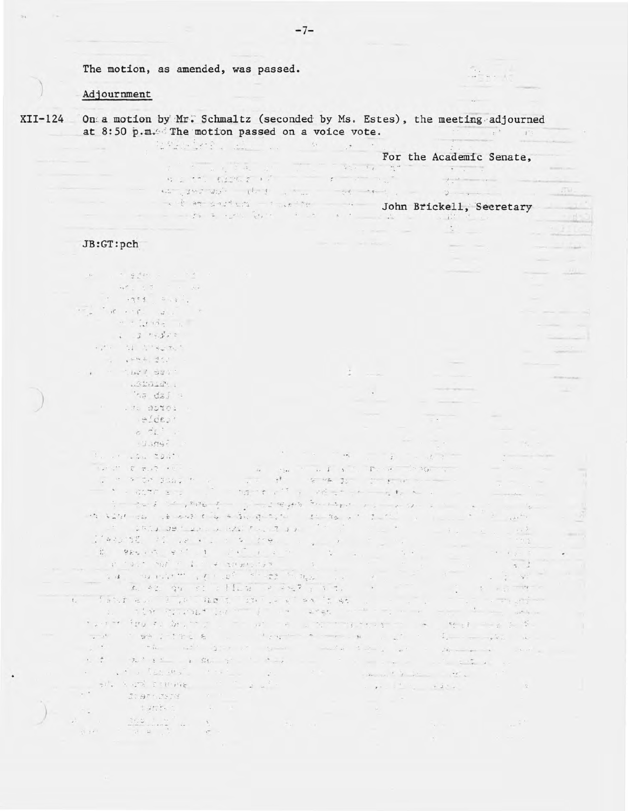The motion, as amended, was passed.

1918-1872 and 19

#### Adjournment

 $XTI-124$ On a motion by Mr. Schmaltz (seconded by Ms. Estes), the meeting adjourned at 8:50 p.m. The motion passed on a voice vote. 

> For the Academic Senate,  $\mathfrak{p}=\mathfrak{p}\mathfrak{p}=\mathfrak{p}\mathfrak{p}\mathfrak{p}\mathfrak{p}$  $5 - 11 - 5$  $\dddot{\phantom{1}}$  $\kappa$  is the third of  $\kappa$  is a second to  $\kappa$  . The second terms of  $\kappa$ as another that is not the second of John Brickell, Secretary

 $25 - 15$ 

### JB:GT:pch

 $\omega = -\frac{1}{2} \frac{1}{2} \frac{d^2}{dx^2} \frac{d^2}{dx^2} \frac{d^2}{dx^2} + \cdots \quad .$  $\sim$   $\sim$  $-1233 - 4477$ a righting a  $1 - 3 - 55$  $\mathbb{Z}^{[k]}$  . All African  $= -1.27895$  $\ddot{\phantom{a}}$  $-333344$ ha dal 4 . Ma abtei  $= 2^{1}$ dest  $\sigma$   $\sigma$   $\Omega$  .  $13.579$ for the star boat  $\sim$  35  $-$ Sunday of Buch Ale  $\cdots$  is  $\mathbf{1}$  ,  $\mathbf{1}$  ,  $\mathbf{1}$  ,  $\mathbf{1}$  ,  $\mathbf{1}$  ,  $\mathbf{1}$  ,  $\mathbf{1}$  ,  $\mathbf{1}$  ,  $\mathbf{1}$  ,  $\mathbf{1}$  ,  $\mathbf{1}$  ,  $\mathbf{1}$  ,  $\mathbf{1}$  ,  $\mathbf{1}$  ,  $\mathbf{1}$  ,  $\mathbf{1}$  ,  $\mathbf{1}$  ,  $\mathbf{1}$  ,  $\mathbf{1}$  ,  $\math$  $\mathcal{L}$  $\sim$ The distribution of the state of . . . . to said . the dight show in the first part of the second service was a way to be a second to be a second to be on what is not the shopping to the state of the same **CARL AND**  $\mathbb{R}$  . Status defined a seat for the state of the state of the state  $\label{eq:3.1} \frac{1}{2} \left( \frac{1}{2} \right)^{2k} \quad k=1, \ldots, k.$ and converter of the state of the sea and the state of the state of the state of the state of the state of the state of the state of the state of the state of the state of the state of the state of the state of the state of the state of the state of the state - 2 92  $t = -13 - 19$ fant all fan Wood in Leaf an Institution of the State of the State of the State of the State of the State of the State of the State of the State of the State of the State of the State of the State of the State of the State  $\label{eq:2.1} \begin{array}{l} \mathbb{E}_{\mathcal{A}}\left(\mathbb{E}_{\mathcal{A}}\right)=\mathbb{E}_{\mathcal{A}}\left(\mathbb{E}_{\mathcal{A}}\right)\mathbb{E}_{\mathcal{A}}\left(\mathbb{E}_{\mathcal{A}}\right)=\mathbb{E}_{\mathcal{A}}\left(\mathbb{E}_{\mathcal{A}}\right)=\mathbb{E}_{\mathcal{A}}\left(\mathbb{E}_{\mathcal{A}}\right)=\mathbb{E}_{\mathcal{A}}\left(\mathbb{E}_{\mathcal{A}}\right)=\mathbb{E}_{\mathcal{A}}\left(\mathbb{E}_{\mathcal{A}}\right)=\math$ and the company of the company of the the state of the state of the when the problems there is a second that the problem of

 $\label{eq:2.1} \begin{array}{ccc} & \downarrow & \downarrow & \end{array}$ the court give an good world can  $\mathbb{R}^+$  $\sim$ モオー あたまの  $\bullet$  St.  $\rightarrow$   $\rightarrow$   $\rightarrow$  $\label{eq:2.1} \begin{array}{cccccccccc} \ddots & \ddots & \ddots & \ddots & \ddots \end{array}$ and a had all all the common and the  $\mathcal{L}(\mathbf{x},\ldots,\mathbf{y},\mathbf{y},\mathbf{y})=\mathcal{L}(\mathbf{x},\ldots,\mathbf{y},\mathbf{y})=\mathcal{L}(\mathbf{x},\mathbf{y},\ldots,\mathbf{y},\mathbf{y}).$ 

art, samt rettere in  $\frac{1}{2}$  $\mathbf{1} \quad \mathbf{1} \quad \mathbf{1} \quad \mathbf{1} \quad \mathbf{1} \quad \mathbf{1} \quad \mathbf{1} \quad \mathbf{1} \quad \mathbf{1} \quad \mathbf{1} \quad \mathbf{1} \quad \mathbf{1} \quad \mathbf{1} \quad \mathbf{1} \quad \mathbf{1} \quad \mathbf{1} \quad \mathbf{1} \quad \mathbf{1} \quad \mathbf{1} \quad \mathbf{1} \quad \mathbf{1} \quad \mathbf{1} \quad \mathbf{1} \quad \mathbf{1} \quad \mathbf{1} \quad \mathbf{1} \quad \mathbf{1} \quad \mathbf{$ dianoste i  $-3.467765$ 

活出社